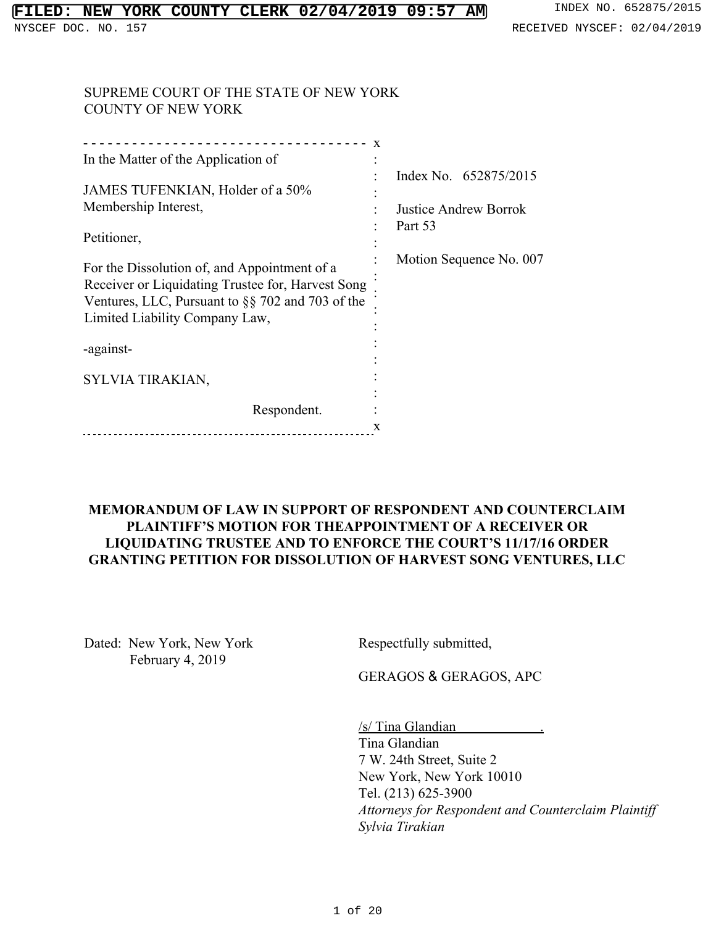### SUPREME COURT OF THE STATE OF NEW YORK COUNTY OF NEW YORK

|                                                   | X |                         |
|---------------------------------------------------|---|-------------------------|
| In the Matter of the Application of               |   |                         |
|                                                   |   | Index No. 652875/2015   |
| JAMES TUFENKIAN, Holder of a 50%                  |   |                         |
| Membership Interest,                              |   | Justice Andrew Borrok   |
|                                                   |   | Part 53                 |
| Petitioner,                                       |   |                         |
|                                                   |   | Motion Sequence No. 007 |
| For the Dissolution of, and Appointment of a      |   |                         |
| Receiver or Liquidating Trustee for, Harvest Song |   |                         |
| Ventures, LLC, Pursuant to §§ 702 and 703 of the  |   |                         |
| Limited Liability Company Law,                    |   |                         |
|                                                   |   |                         |
| -against-                                         |   |                         |
|                                                   |   |                         |
| SYLVIA TIRAKIAN,                                  |   |                         |
|                                                   |   |                         |
| Respondent.                                       |   |                         |
|                                                   | X |                         |

### **MEMORANDUM OF LAW IN SUPPORT OF RESPONDENT AND COUNTERCLAIM PLAINTIFF'S MOTION FOR THEAPPOINTMENT OF A RECEIVER OR LIQUIDATING TRUSTEE AND TO ENFORCE THE COURT'S 11/17/16 ORDER GRANTING PETITION FOR DISSOLUTION OF HARVEST SONG VENTURES, LLC**

Dated: New York, New York February 4, 2019

Respectfully submitted,

GERAGOS & GERAGOS, APC

/s/ Tina Glandian . Tina Glandian 7 W. 24th Street, Suite 2 New York, New York 10010 Tel. (213) 625-3900 *Attorneys for Respondent and Counterclaim Plaintiff Sylvia Tirakian*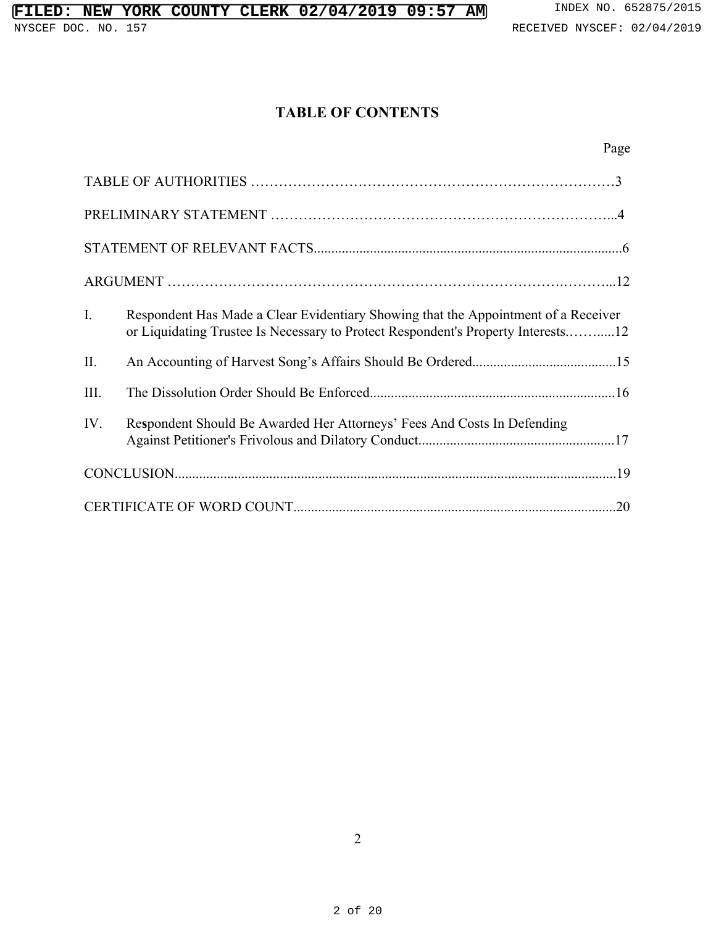# **TABLE OF CONTENTS**

| $I_{\cdot}$ | Respondent Has Made a Clear Evidentiary Showing that the Appointment of a Receiver<br>or Liquidating Trustee Is Necessary to Protect Respondent's Property Interests12 |     |
|-------------|------------------------------------------------------------------------------------------------------------------------------------------------------------------------|-----|
| П.          |                                                                                                                                                                        |     |
| III.        |                                                                                                                                                                        |     |
| IV.         | Respondent Should Be Awarded Her Attorneys' Fees And Costs In Defending                                                                                                |     |
|             |                                                                                                                                                                        |     |
|             |                                                                                                                                                                        | .20 |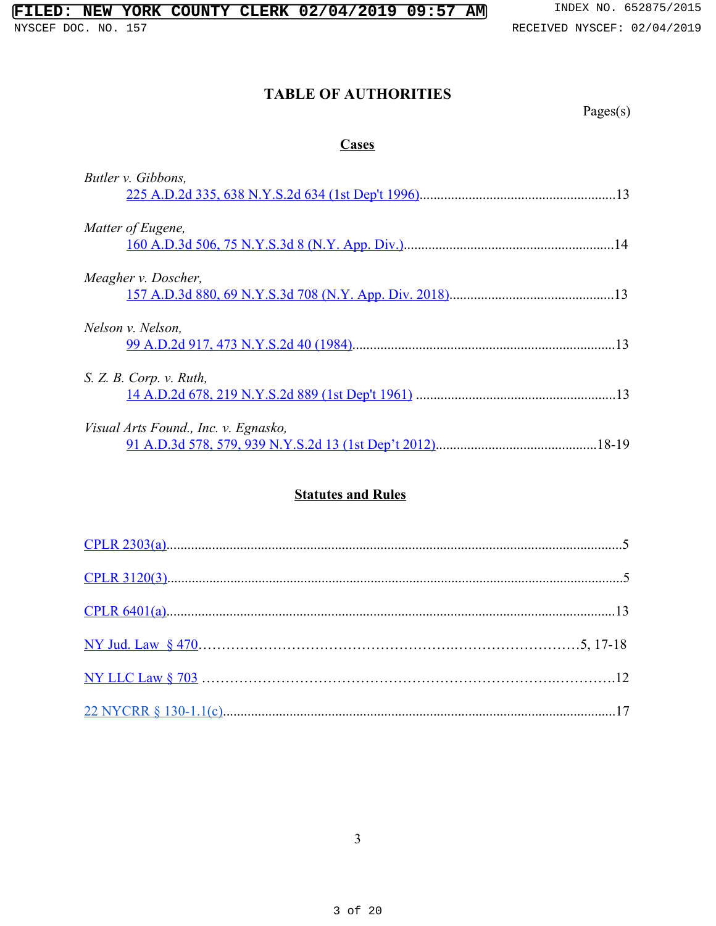# **TABLE OF AUTHORITIES**

Pages(s)

# **Cases**

| Butler v. Gibbons,                                                                            |       |
|-----------------------------------------------------------------------------------------------|-------|
| Matter of Eugene,                                                                             | 14    |
| Meagher v. Doscher,                                                                           | -13   |
| Nelson v. Nelson.                                                                             | 13    |
| S. Z. B. Corp. v. Ruth,                                                                       |       |
| Visual Arts Found., Inc. v. Egnasko,<br>91 A.D.3d 578, 579, 939 N.Y.S.2d 13 (1st Dep't 2012). | 18-19 |

# **Statutes and Rules**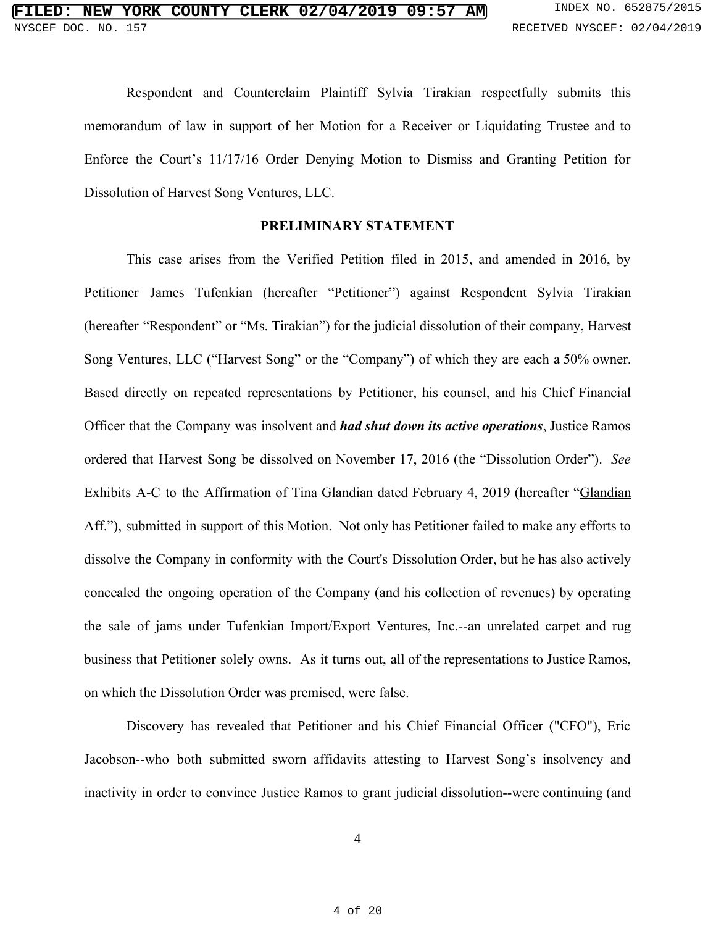Respondent and Counterclaim Plaintiff Sylvia Tirakian respectfully submits this memorandum of law in support of her Motion for a Receiver or Liquidating Trustee and to Enforce the Court's 11/17/16 Order Denying Motion to Dismiss and Granting Petition for Dissolution of Harvest Song Ventures, LLC.

#### **PRELIMINARY STATEMENT**

This case arises from the Verified Petition filed in 2015, and amended in 2016, by Petitioner James Tufenkian (hereafter "Petitioner") against Respondent Sylvia Tirakian (hereafter "Respondent" or "Ms. Tirakian") for the judicial dissolution of their company, Harvest Song Ventures, LLC ("Harvest Song" or the "Company") of which they are each a 50% owner. Based directly on repeated representations by Petitioner, his counsel, and his Chief Financial Officer that the Company was insolvent and *had shut down its active operations*, Justice Ramos ordered that Harvest Song be dissolved on November 17, 2016 (the "Dissolution Order"). *See* Exhibits A-C to the Affirmation of Tina Glandian dated February 4, 2019 (hereafter "Glandian Aff."), submitted in support of this Motion. Not only has Petitioner failed to make any efforts to dissolve the Company in conformity with the Court's Dissolution Order, but he has also actively concealed the ongoing operation of the Company (and his collection of revenues) by operating the sale of jams under Tufenkian Import/Export Ventures, Inc.--an unrelated carpet and rug business that Petitioner solely owns. As it turns out, all of the representations to Justice Ramos, on which the Dissolution Order was premised, were false.

Discovery has revealed that Petitioner and his Chief Financial Officer ("CFO"), Eric Jacobson--who both submitted sworn affidavits attesting to Harvest Song's insolvency and inactivity in order to convince Justice Ramos to grant judicial dissolution--were continuing (and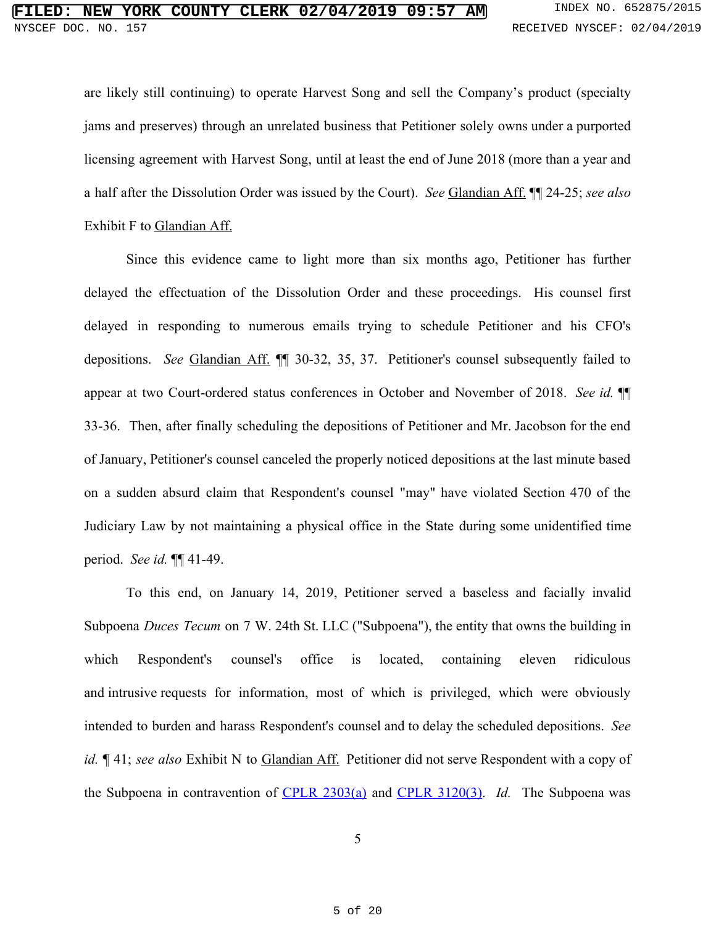are likely still continuing) to operate Harvest Song and sell the Company's product (specialty jams and preserves) through an unrelated business that Petitioner solely owns under a purported licensing agreement with Harvest Song, until at least the end of June 2018 (more than a year and a half after the Dissolution Order was issued by the Court). *See* Glandian Aff. ¶¶ 24-25; *see also* Exhibit F to Glandian Aff.

Since this evidence came to light more than six months ago, Petitioner has further delayed the effectuation of the Dissolution Order and these proceedings. His counsel first delayed in responding to numerous emails trying to schedule Petitioner and his CFO's depositions. *See* Glandian Aff. ¶¶ 30-32, 35, 37. Petitioner's counsel subsequently failed to appear at two Court-ordered status conferences in October and November of 2018. *See id.* ¶¶ 33-36. Then, after finally scheduling the depositions of Petitioner and Mr. Jacobson for the end of January, Petitioner's counsel canceled the properly noticed depositions at the last minute based on a sudden absurd claim that Respondent's counsel "may" have violated Section 470 of the Judiciary Law by not maintaining a physical office in the State during some unidentified time period. *See id.* ¶¶ 41-49.

To this end, on January 14, 2019, Petitioner served a baseless and facially invalid Subpoena *Duces Tecum* on 7 W. 24th St. LLC ("Subpoena"), the entity that owns the building in which Respondent's counsel's office is located, containing eleven ridiculous and intrusive requests for information, most of which is privileged, which were obviously intended to burden and harass Respondent's counsel and to delay the scheduled depositions. *See id.* ¶ 41; *see also* Exhibit N to Glandian Aff. Petitioner did not serve Respondent with a copy of the Subpoena in contravention of CPLR [2303\(a\)](https://www.westlaw.com/Document/NCCDA5A80987411D8819EEA39B23BA0F7/View/FullText.html?transitionType=Default&contextData=(sc.Default)&VR=3.0&RS=cblt1.0) and CPLR [3120\(3\)](https://www.westlaw.com/Document/NCAAEA0E0987411D8819EEA39B23BA0F7/View/FullText.html?transitionType=Default&contextData=(sc.Default)&VR=3.0&RS=cblt1.0). *Id.* The Subpoena was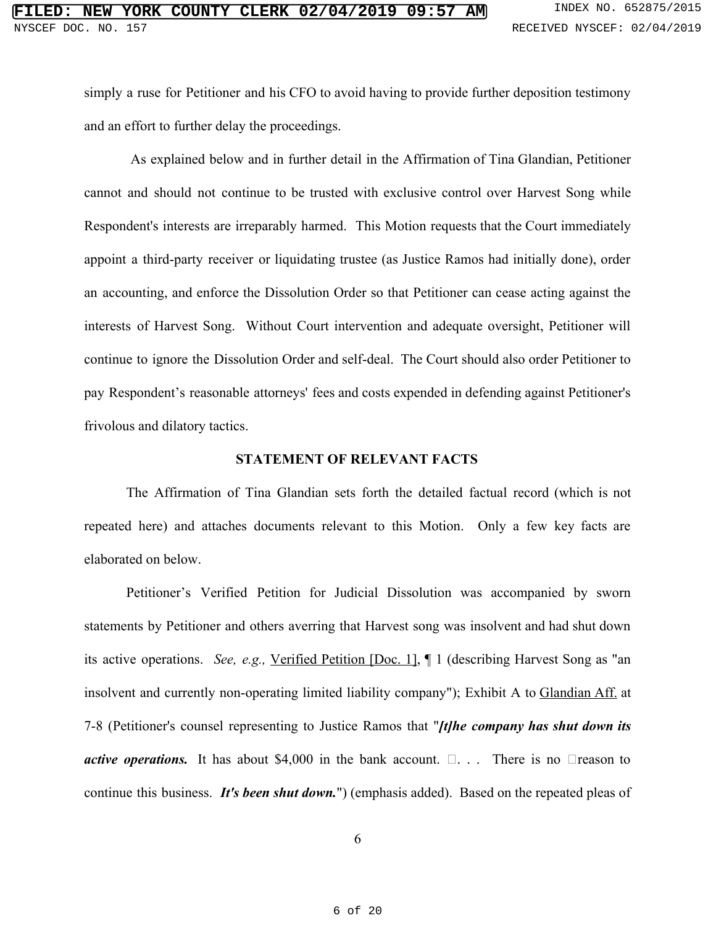simply a ruse for Petitioner and his CFO to avoid having to provide further deposition testimony and an effort to further delay the proceedings.

As explained below and in further detail in the Affirmation of Tina Glandian, Petitioner cannot and should not continue to be trusted with exclusive control over Harvest Song while Respondent's interests are irreparably harmed. This Motion requests that the Court immediately appoint a third-party receiver or liquidating trustee (as Justice Ramos had initially done), order an accounting, and enforce the Dissolution Order so that Petitioner can cease acting against the interests of Harvest Song. Without Court intervention and adequate oversight, Petitioner will continue to ignore the Dissolution Order and self-deal. The Court should also order Petitioner to pay Respondent's reasonable attorneys' fees and costs expended in defending against Petitioner's frivolous and dilatory tactics.

#### **STATEMENT OF RELEVANT FACTS**

The Affirmation of Tina Glandian sets forth the detailed factual record (which is not repeated here) and attaches documents relevant to this Motion. Only a few key facts are elaborated on below.

Petitioner's Verified Petition for Judicial Dissolution was accompanied by sworn statements by Petitioner and others averring that Harvest song was insolvent and had shut down its active operations. *See, e.g.,* [Verified](https://iapps.courts.state.ny.us/fbem/DocumentDisplayServlet?documentId=od_PLUS_9jUFHwtnq8U2md9x1Ww==&system=prodIndexNo=652875-2015) Petition [Doc. 1], ¶ 1 (describing Harvest Song as "an insolvent and currently non-operating limited liability company"); Exhibit A to Glandian Aff. at 7-8 (Petitioner's counsel representing to Justice Ramos that "*[t]he company has shut down its active operations.* It has about \$4,000 in the bank account.  $\Box$ ... There is no  $\Box$  reason to continue this business. *It's been shut down.*") (emphasis added). Based on the repeated pleas of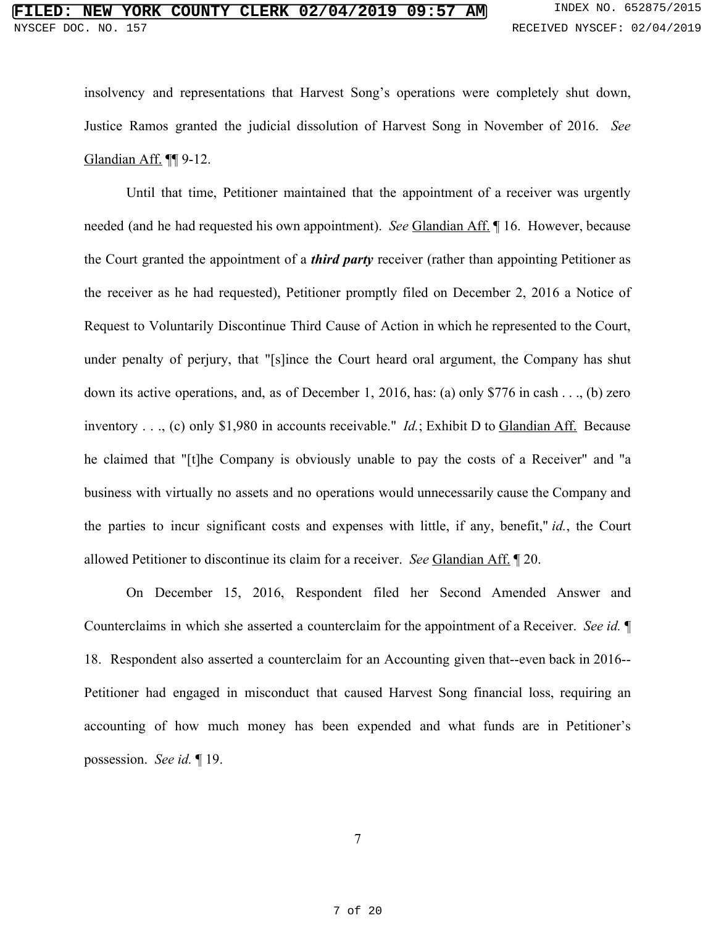insolvency and representations that Harvest Song's operations were completely shut down, Justice Ramos granted the judicial dissolution of Harvest Song in November of 2016. *See* Glandian Aff. ¶¶ 9-12.

Until that time, Petitioner maintained that the appointment of a receiver was urgently needed (and he had requested his own appointment). *See* Glandian Aff. ¶ 16. However, because the Court granted the appointment of a *third party* receiver (rather than appointing Petitioner as the receiver as he had requested), Petitioner promptly filed on December 2, 2016 a Notice of Request to Voluntarily Discontinue Third Cause of Action in which he represented to the Court, under penalty of perjury, that "[s]ince the Court heard oral argument, the Company has shut down its active operations, and, as of December 1, 2016, has: (a) only \$776 in cash . . ., (b) zero inventory . . ., (c) only \$1,980 in accounts receivable." *Id.*; Exhibit D to Glandian Aff. Because he claimed that "[t]he Company is obviously unable to pay the costs of a Receiver" and "a business with virtually no assets and no operations would unnecessarily cause the Company and the parties to incur significant costs and expenses with little, if any, benefit," *id.*, the Court allowed Petitioner to discontinue its claim for a receiver. *See* Glandian Aff. ¶ 20.

On December 15, 2016, Respondent filed her Second Amended Answer and Counterclaims in which she asserted a counterclaim for the appointment of a Receiver. *See id.* ¶ 18. Respondent also asserted a counterclaim for an Accounting given that--even back in 2016-- Petitioner had engaged in misconduct that caused Harvest Song financial loss, requiring an accounting of how much money has been expended and what funds are in Petitioner's possession. *See id.* ¶ 19.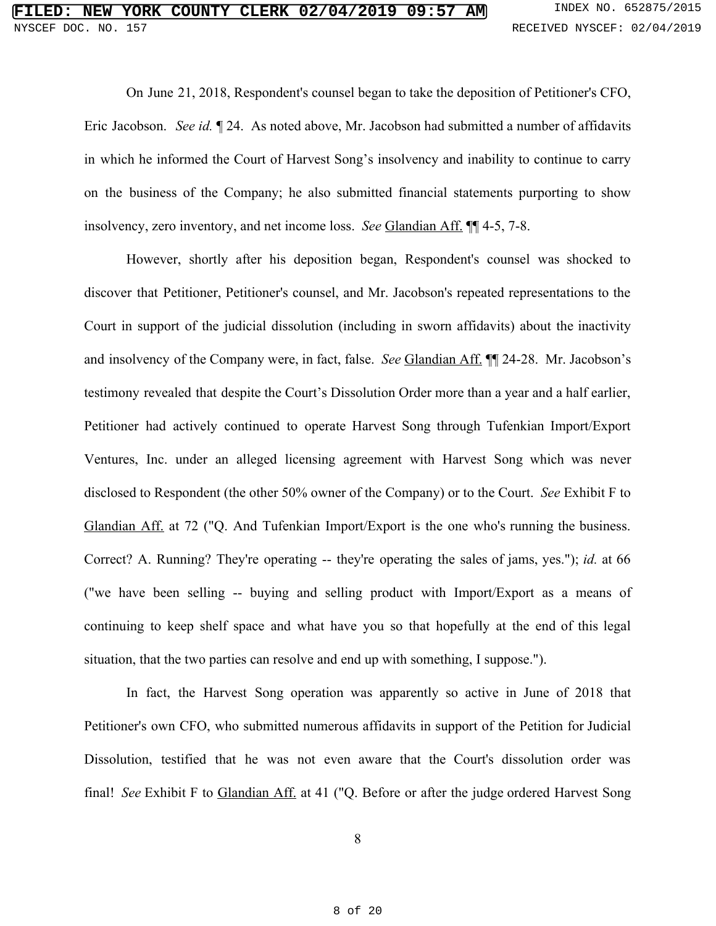On June 21, 2018, Respondent's counsel began to take the deposition of Petitioner's CFO, Eric Jacobson. *See id.* ¶ 24. As noted above, Mr. Jacobson had submitted a number of affidavits in which he informed the Court of Harvest Song's insolvency and inability to continue to carry on the business of the Company; he also submitted financial statements purporting to show insolvency, zero inventory, and net income loss. *See* Glandian Aff. ¶¶ 4-5, 7-8.

However, shortly after his deposition began, Respondent's counsel was shocked to discover that Petitioner, Petitioner's counsel, and Mr. Jacobson's repeated representations to the Court in support of the judicial dissolution (including in sworn affidavits) about the inactivity and insolvency of the Company were, in fact, false. *See* Glandian Aff. ¶¶ 24-28. Mr. Jacobson's testimony revealed that despite the Court's Dissolution Order more than a year and a half earlier, Petitioner had actively continued to operate Harvest Song through Tufenkian Import/Export Ventures, Inc. under an alleged licensing agreement with Harvest Song which was never disclosed to Respondent (the other 50% owner of the Company) or to the Court. *See* Exhibit F to Glandian Aff. at 72 ("Q. And Tufenkian Import/Export is the one who's running the business. Correct? A. Running? They're operating -- they're operating the sales of jams, yes."); *id.* at 66 ("we have been selling -- buying and selling product with Import/Export as a means of continuing to keep shelf space and what have you so that hopefully at the end of this legal situation, that the two parties can resolve and end up with something, I suppose.").

In fact, the Harvest Song operation was apparently so active in June of 2018 that Petitioner's own CFO, who submitted numerous affidavits in support of the Petition for Judicial Dissolution, testified that he was not even aware that the Court's dissolution order was final! *See* Exhibit F to Glandian Aff. at 41 ("Q. Before or after the judge ordered Harvest Song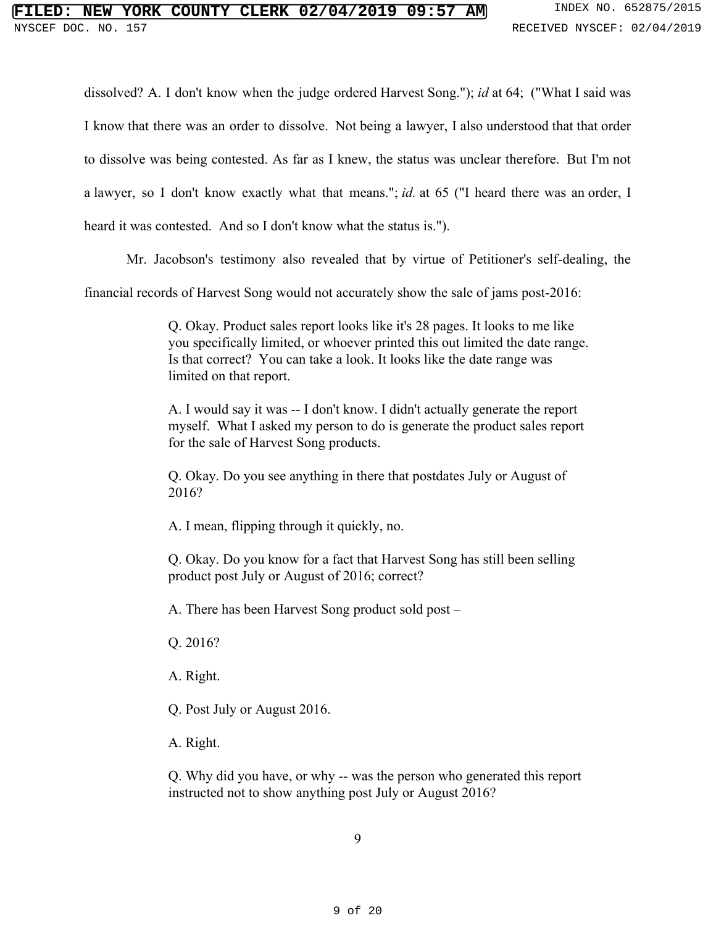dissolved? A. I don't know when the judge ordered Harvest Song."); *id* at 64; ("What I said was I know that there was an order to dissolve. Not being a lawyer, I also understood that that order to dissolve was being contested. As far as I knew, the status was unclear therefore. But I'm not a lawyer, so I don't know exactly what that means."; *id.* at 65 ("I heard there was an order, I heard it was contested. And so I don't know what the status is.").

Mr. Jacobson's testimony also revealed that by virtue of Petitioner's self-dealing, the

financial records of Harvest Song would not accurately show the sale of jams post-2016:

Q. Okay. Product sales report looks like it's 28 pages. It looks to me like you specifically limited, or whoever printed this out limited the date range. Is that correct? You can take a look. It looks like the date range was limited on that report.

A. I would say it was -- I don't know. I didn't actually generate the report myself. What I asked my person to do is generate the product sales report for the sale of Harvest Song products.

Q. Okay. Do you see anything in there that postdates July or August of 2016?

A. I mean, flipping through it quickly, no.

Q. Okay. Do you know for a fact that Harvest Song has still been selling product post July or August of 2016; correct?

A. There has been Harvest Song product sold post –

Q. 2016?

A. Right.

Q. Post July or August 2016.

A. Right.

Q. Why did you have, or why -- was the person who generated this report instructed not to show anything post July or August 2016?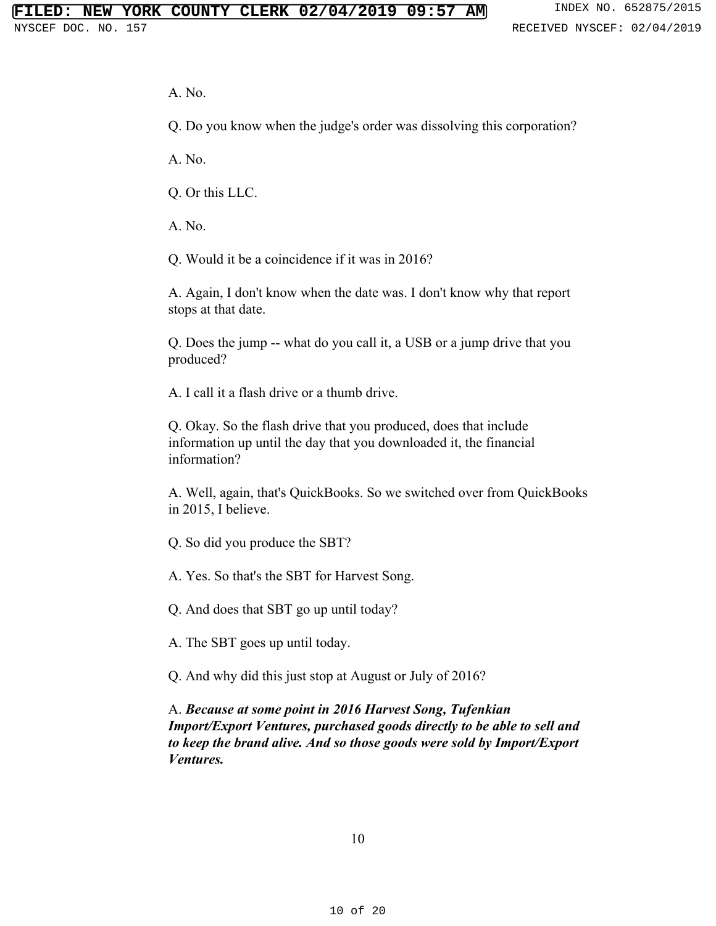A. No.

Q. Do you know when the judge's order was dissolving this corporation?

A. No.

Q. Or this LLC.

A. No.

Q. Would it be a coincidence if it was in 2016?

A. Again, I don't know when the date was. I don't know why that report stops at that date.

Q. Does the jump -- what do you call it, a USB or a jump drive that you produced?

A. I call it a flash drive or a thumb drive.

Q. Okay. So the flash drive that you produced, does that include information up until the day that you downloaded it, the financial information?

A. Well, again, that's QuickBooks. So we switched over from QuickBooks in 2015, I believe.

Q. So did you produce the SBT?

A. Yes. So that's the SBT for Harvest Song.

Q. And does that SBT go up until today?

A. The SBT goes up until today.

Q. And why did this just stop at August or July of 2016?

A. *Because at some point in 2016 Harvest Song, Tufenkian Import/Export Ventures, purchased goods directly to be able to sell and to keep the brand alive. And so those goods were sold by Import/Export Ventures.*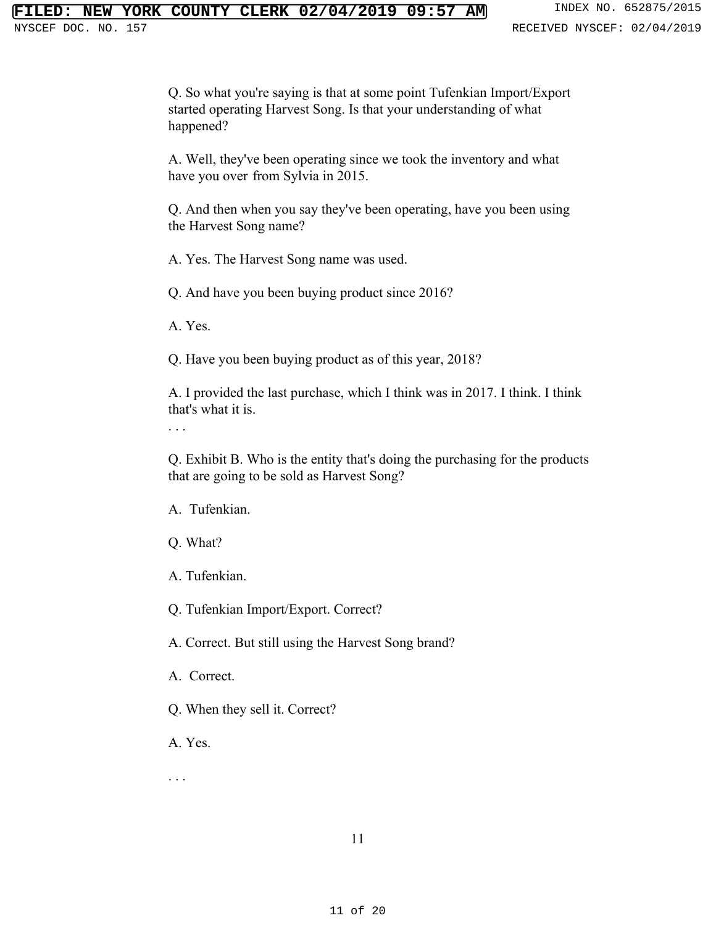Q. So what you're saying is that at some point Tufenkian Import/Export started operating Harvest Song. Is that your understanding of what happened?

A. Well, they've been operating since we took the inventory and what have you over from Sylvia in 2015.

Q. And then when you say they've been operating, have you been using the Harvest Song name?

A. Yes. The Harvest Song name was used.

Q. And have you been buying product since 2016?

A. Yes.

Q. Have you been buying product as of this year, 2018?

A. I provided the last purchase, which I think was in 2017. I think. I think that's what it is.

. . .

Q. Exhibit B. Who is the entity that's doing the purchasing for the products that are going to be sold as Harvest Song?

A. Tufenkian.

Q. What?

A. Tufenkian.

Q. Tufenkian Import/Export. Correct?

A. Correct. But still using the Harvest Song brand?

A. Correct.

Q. When they sell it. Correct?

A. Yes.

. . .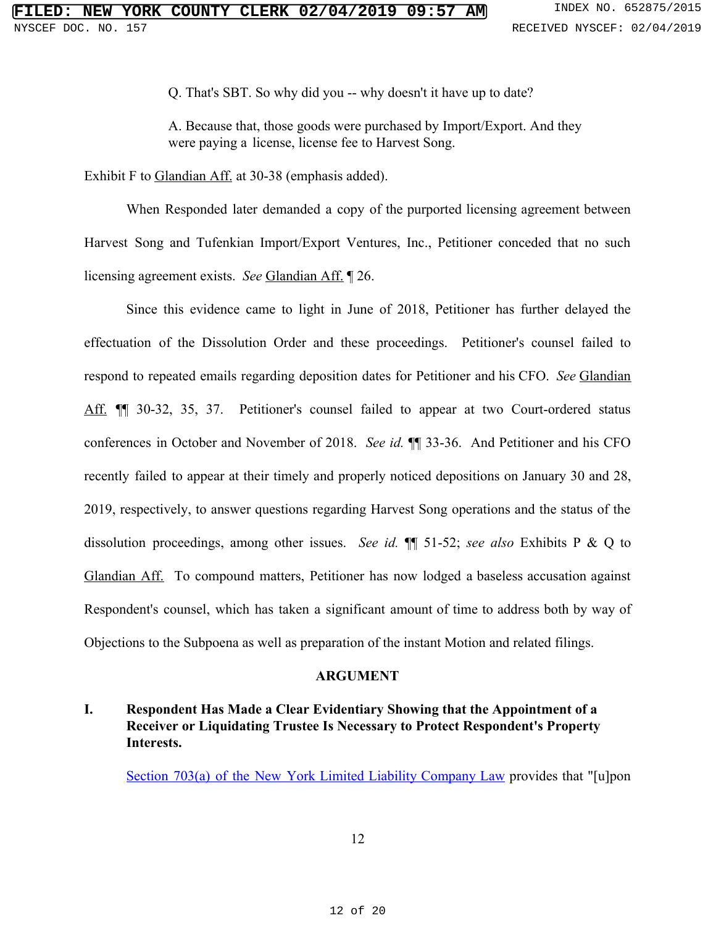Q. That's SBT. So why did you -- why doesn't it have up to date?

A. Because that, those goods were purchased by Import/Export. And they were paying a license, license fee to Harvest Song.

Exhibit F to Glandian Aff. at 30-38 (emphasis added).

When Responded later demanded a copy of the purported licensing agreement between Harvest Song and Tufenkian Import/Export Ventures, Inc., Petitioner conceded that no such licensing agreement exists. *See* Glandian Aff. ¶ 26.

Since this evidence came to light in June of 2018, Petitioner has further delayed the effectuation of the Dissolution Order and these proceedings. Petitioner's counsel failed to respond to repeated emails regarding deposition dates for Petitioner and his CFO. *See* Glandian Aff. ¶¶ 30-32, 35, 37. Petitioner's counsel failed to appear at two Court-ordered status conferences in October and November of 2018. *See id.* ¶¶ 33-36. And Petitioner and his CFO recently failed to appear at their timely and properly noticed depositions on January 30 and 28, 2019, respectively, to answer questions regarding Harvest Song operations and the status of the dissolution proceedings, among other issues. *See id.* ¶¶ 51-52; *see also* Exhibits P & Q to Glandian Aff. To compound matters, Petitioner has now lodged a baseless accusation against Respondent's counsel, which has taken a significant amount of time to address both by way of Objections to the Subpoena as well as preparation of the instant Motion and related filings.

### **ARGUMENT**

## **I. Respondent Has Made a Clear Evidentiary Showing that the Appointment of a Receiver or Liquidating Trustee Is Necessary to Protect Respondent's Property Interests.**

Section 703(a) of the New York Limited Liability [Company](https://www.westlaw.com/Document/N056FEA00883E11D881E9FEF4A4D44D69/View/FullText.html?transitionType=Default&contextData=(sc.Default)&VR=3.0&RS=cblt1.0) Law provides that "[u]pon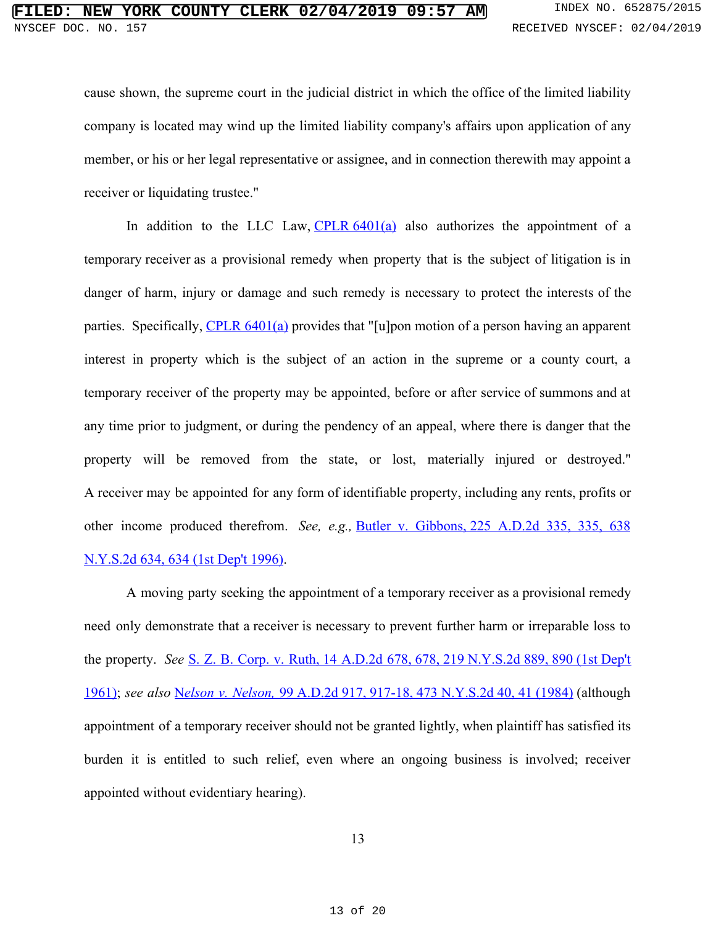cause shown, the supreme court in the judicial district in which the office of the limited liability company is located may wind up the limited liability company's affairs upon application of any member, or his or her legal representative or assignee, and in connection therewith may appoint a receiver or liquidating trustee."

In addition to the LLC Law, CPLR  $6401(a)$  also authorizes the appointment of a temporary receiver as a provisional remedy when property that is the subject of litigation is in danger of harm, injury or damage and such remedy is necessary to protect the interests of the parties. Specifically, CPLR [6401\(a\)](https://www.westlaw.com/Document/NCC4D83D0987411D8819EEA39B23BA0F7/View/FullText.html?transitionType=Default&contextData=(sc.Default)&VR=3.0&RS=cblt1.0) provides that "[u]pon motion of a person having an apparent interest in property which is the subject of an action in the supreme or a county court, a temporary receiver of the property may be appointed, before or after service of summons and at any time prior to judgment, or during the pendency of an appeal, where there is danger that the property will be removed from the state, or lost, materially injured or destroyed." A receiver may be appointed for any form of identifiable property, including any rents, profits or other income produced therefrom. *See, e.g.,* Butler v. [Gibbons, 225](https://www.westlaw.com/Document/I3e59cac6d9aa11d98ac8f235252e36df/View/FullText.html?transitionType=Default&contextData=(sc.Default)&VR=3.0&RS=cblt1.0) A.D.2d 335, 335, 638 [N.Y.S.2d 634, 634 \(1st Dep't 1996\)](https://www.westlaw.com/Document/I3e59cac6d9aa11d98ac8f235252e36df/View/FullText.html?transitionType=Default&contextData=(sc.Default)&VR=3.0&RS=cblt1.0).

A moving party seeking the appointment of a temporary receiver as a provisional remedy need only demonstrate that a receiver is necessary to prevent further harm or irreparable loss to the property. *See* S. Z. B. Corp. v. Ruth, 14 A.D.2d 678, 678, 219 [N.Y.S.2d](https://www.westlaw.com/Document/I06124837d7ee11d9bf60c1d57ebc853e/View/FullText.html?transitionType=Default&contextData=(sc.Default)&VR=3.0&RS=cblt1.0) 889, 890 (1st Dep't [1961\);](https://www.westlaw.com/Document/I06124837d7ee11d9bf60c1d57ebc853e/View/FullText.html?transitionType=Default&contextData=(sc.Default)&VR=3.0&RS=cblt1.0) *see also* [N](https://www.westlaw.com/Document/Ib82cff31d90911d983e7e9deff98dc6f/View/FullText.html?transitionType=Default&contextData=(sc.Default)&VR=3.0&RS=cblt1.0)*elson v. [Nelson,](https://www.westlaw.com/Document/Ib82cff31d90911d983e7e9deff98dc6f/View/FullText.html?transitionType=Default&contextData=(sc.Default)&VR=3.0&RS=cblt1.0)* 99 A.D.2d 917, 917-18, 473 [N.Y.S.2d](https://www.westlaw.com/Document/Ib82cff31d90911d983e7e9deff98dc6f/View/FullText.html?transitionType=Default&contextData=(sc.Default)&VR=3.0&RS=cblt1.0) 40, 41 (1984) (although appointment of a temporary receiver should not be granted lightly, when plaintiff has satisfied its burden it is entitled to such relief, even where an ongoing business is involved; receiver appointed without evidentiary hearing).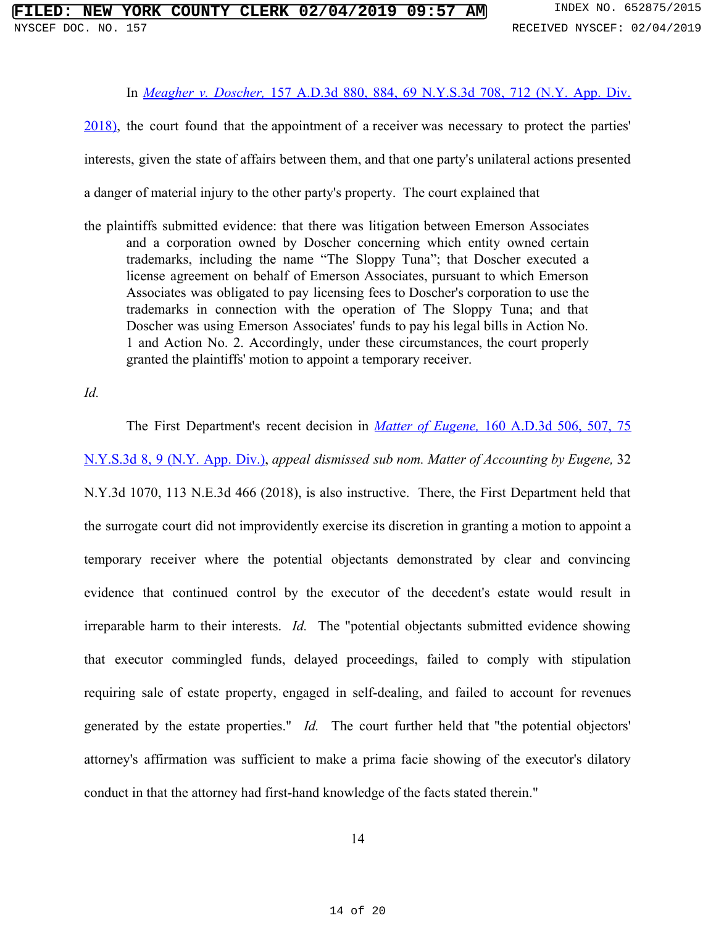#### In *[Meagher](https://www.westlaw.com/Document/Iaf1152d0013611e88b66e4c91e845832/View/FullText.html?transitionType=Default&contextData=(sc.Default)&VR=3.0&RS=cblt1.0) v. Doscher,* 157 A.D.3d 880, 884, 69 [N.Y.S.3d](https://www.westlaw.com/Document/Iaf1152d0013611e88b66e4c91e845832/View/FullText.html?transitionType=Default&contextData=(sc.Default)&VR=3.0&RS=cblt1.0) 708, 712 (N.Y. App. Div.

[2018\),](https://www.westlaw.com/Document/Iaf1152d0013611e88b66e4c91e845832/View/FullText.html?transitionType=Default&contextData=(sc.Default)&VR=3.0&RS=cblt1.0) the court found that the appointment of a receiver was necessary to protect the parties' interests, given the state of affairs between them, and that one party's unilateral actions presented a danger of material injury to the other party's property. The court explained that

the plaintiffs submitted evidence: that there was litigation between Emerson Associates and a corporation owned by Doscher concerning which entity owned certain trademarks, including the name "The Sloppy Tuna"; that Doscher executed a license agreement on behalf of Emerson Associates, pursuant to which Emerson Associates was obligated to pay licensing fees to Doscher's corporation to use the trademarks in connection with the operation of The Sloppy Tuna; and that Doscher was using Emerson Associates' funds to pay his legal bills in Action No. 1 and Action No. 2. Accordingly, under these circumstances, the court properly granted the plaintiffs' motion to appoint a temporary receiver.

*Id.*

The First Department's recent decision in *Matter of [Eugene,](https://www.westlaw.com/Document/Ifcfb99d03e6011e8a86fd9971ed14fe1/View/FullText.html?transitionType=Default&contextData=(sc.Default)&VR=3.0&RS=cblt1.0)* 160 [A.D.3d](https://www.westlaw.com/Document/Ifcfb99d03e6011e8a86fd9971ed14fe1/View/FullText.html?transitionType=Default&contextData=(sc.Default)&VR=3.0&RS=cblt1.0) 506, 507, 75

[N.Y.S.3d](https://www.westlaw.com/Document/Ifcfb99d03e6011e8a86fd9971ed14fe1/View/FullText.html?transitionType=Default&contextData=(sc.Default)&VR=3.0&RS=cblt1.0) 8, 9 (N.Y. App. Div.), *appeal dismissed sub nom. Matter of Accounting by Eugene,* 32

N.Y.3d 1070, 113 N.E.3d 466 (2018), is also instructive. There, the First Department held that the surrogate court did not improvidently exercise its discretion in granting a motion to appoint a temporary receiver where the potential objectants demonstrated by clear and convincing evidence that continued control by the executor of the decedent's estate would result in irreparable harm to their interests. *Id.* The "potential objectants submitted evidence showing that executor commingled funds, delayed proceedings, failed to comply with stipulation requiring sale of estate property, engaged in self-dealing, and failed to account for revenues generated by the estate properties." *Id.* The court further held that "the potential objectors' attorney's affirmation was sufficient to make a prima facie showing of the executor's dilatory conduct in that the attorney had first-hand knowledge of the facts stated therein."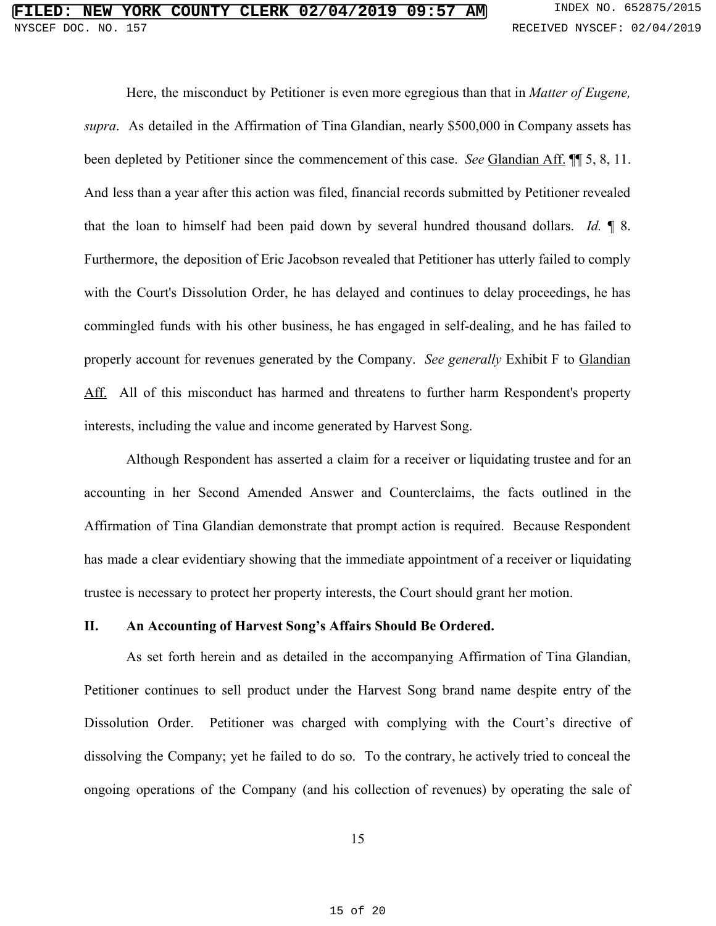Here, the misconduct by Petitioner is even more egregious than that in *Matter of Eugene, supra*. As detailed in the Affirmation of Tina Glandian, nearly \$500,000 in Company assets has been depleted by Petitioner since the commencement of this case. *See* Glandian Aff. ¶¶ 5, 8, 11. And less than a year after this action was filed, financial records submitted by Petitioner revealed that the loan to himself had been paid down by several hundred thousand dollars. *Id.* ¶ 8. Furthermore, the deposition of Eric Jacobson revealed that Petitioner has utterly failed to comply with the Court's Dissolution Order, he has delayed and continues to delay proceedings, he has commingled funds with his other business, he has engaged in self-dealing, and he has failed to properly account for revenues generated by the Company. *See generally* Exhibit F to Glandian Aff. All of this misconduct has harmed and threatens to further harm Respondent's property interests, including the value and income generated by Harvest Song.

Although Respondent has asserted a claim for a receiver or liquidating trustee and for an accounting in her Second Amended Answer and Counterclaims, the facts outlined in the Affirmation of Tina Glandian demonstrate that prompt action is required. Because Respondent has made a clear evidentiary showing that the immediate appointment of a receiver or liquidating trustee is necessary to protect her property interests, the Court should grant her motion.

#### **II. An Accounting of Harvest Song's Affairs Should Be Ordered.**

As set forth herein and as detailed in the accompanying Affirmation of Tina Glandian, Petitioner continues to sell product under the Harvest Song brand name despite entry of the Dissolution Order. Petitioner was charged with complying with the Court's directive of dissolving the Company; yet he failed to do so. To the contrary, he actively tried to conceal the ongoing operations of the Company (and his collection of revenues) by operating the sale of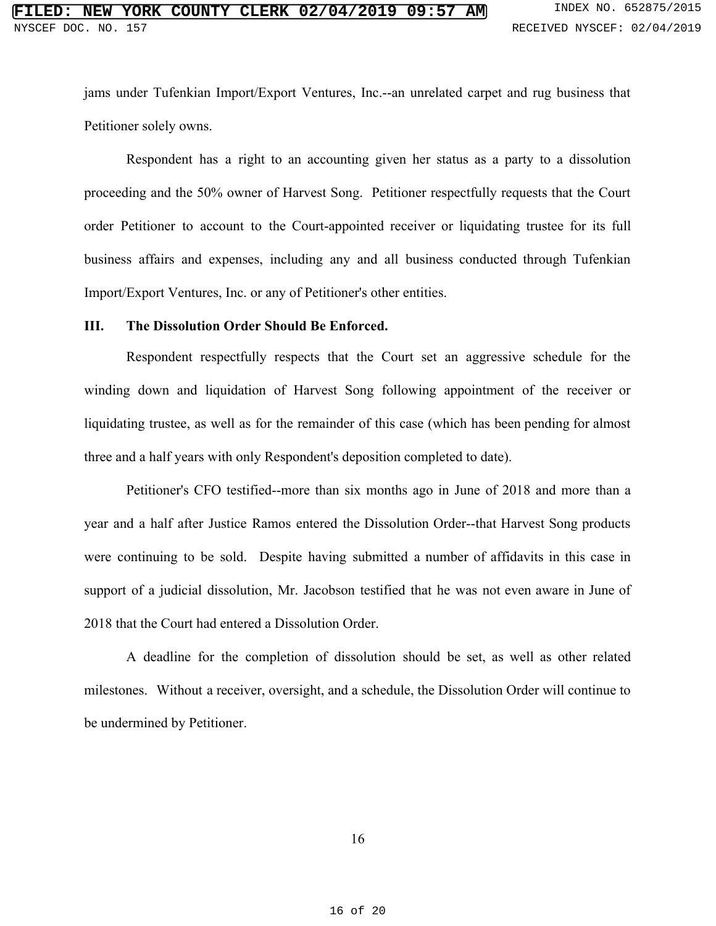jams under Tufenkian Import/Export Ventures, Inc.--an unrelated carpet and rug business that Petitioner solely owns.

Respondent has a right to an accounting given her status as a party to a dissolution proceeding and the 50% owner of Harvest Song. Petitioner respectfully requests that the Court order Petitioner to account to the Court-appointed receiver or liquidating trustee for its full business affairs and expenses, including any and all business conducted through Tufenkian Import/Export Ventures, Inc. or any of Petitioner's other entities.

#### **III. The Dissolution Order Should Be Enforced.**

Respondent respectfully respects that the Court set an aggressive schedule for the winding down and liquidation of Harvest Song following appointment of the receiver or liquidating trustee, as well as for the remainder of this case (which has been pending for almost three and a half years with only Respondent's deposition completed to date).

Petitioner's CFO testified--more than six months ago in June of 2018 and more than a year and a half after Justice Ramos entered the Dissolution Order--that Harvest Song products were continuing to be sold. Despite having submitted a number of affidavits in this case in support of a judicial dissolution, Mr. Jacobson testified that he was not even aware in June of 2018 that the Court had entered a Dissolution Order.

A deadline for the completion of dissolution should be set, as well as other related milestones. Without a receiver, oversight, and a schedule, the Dissolution Order will continue to be undermined by Petitioner.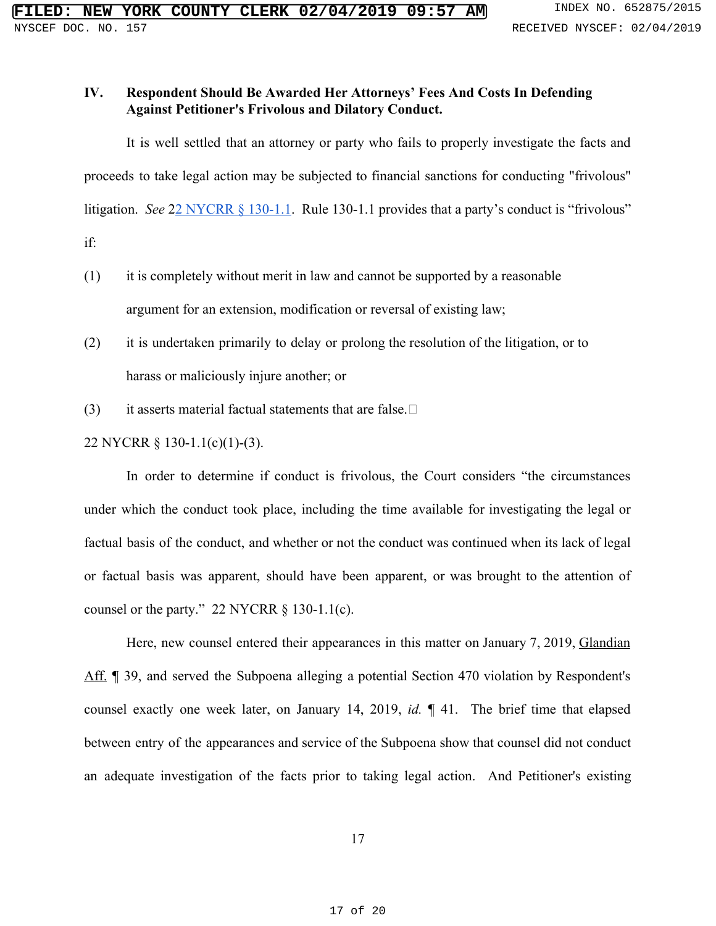### **IV. Respondent Should Be Awarded Her Attorneys' Fees And Costs In Defending Against Petitioner's Frivolous and Dilatory Conduct.**

It is well settled that an attorney or party who fails to properly investigate the facts and proceeds to take legal action may be subjected to financial sanctions for conducting "frivolous" litigation. *See* 22 [NYCRR](https://www.westlaw.com/Document/I1C1E36A0BDA111DE9F5ECEFD6C354282/View/FullText.html?transitionType=Default&contextData=(sc.Default)&VR=3.0&RS=cblt1.0) § 130-1.1. Rule 130-1.1 provides that a party's conduct is "frivolous" if:

- (1) it is completely without merit in law and cannot be supported by a reasonable argument for an extension, modification or reversal of existing law;
- (2) it is undertaken primarily to delay or prolong the resolution of the litigation, or to harass or maliciously injure another; or
- (3) it asserts material factual statements that are false.  $\square$

22 NYCRR § 130-1.1(c)(1)-(3).

In order to determine if conduct is frivolous, the Court considers "the circumstances under which the conduct took place, including the time available for investigating the legal or factual basis of the conduct, and whether or not the conduct was continued when its lack of legal or factual basis was apparent, should have been apparent, or was brought to the attention of counsel or the party."  $22$  NYCRR § 130-1.1(c).

Here, new counsel entered their appearances in this matter on January 7, 2019, Glandian Aff. ¶ 39, and served the Subpoena alleging a potential Section 470 violation by Respondent's counsel exactly one week later, on January 14, 2019, *id.* ¶ 41. The brief time that elapsed between entry of the appearances and service of the Subpoena show that counsel did not conduct an adequate investigation of the facts prior to taking legal action. And Petitioner's existing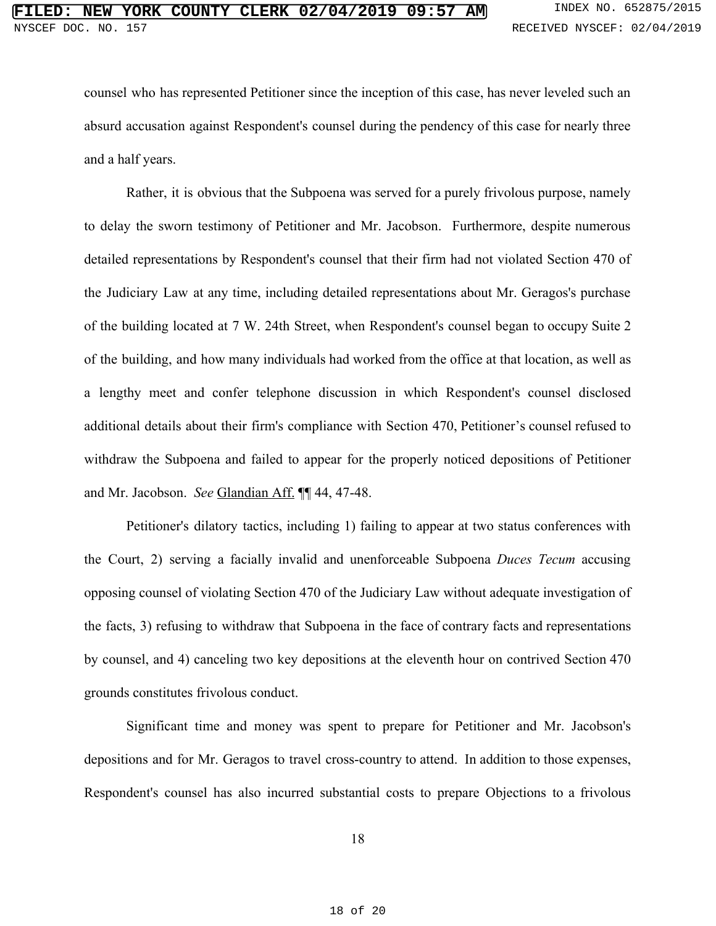counsel who has represented Petitioner since the inception of this case, has never leveled such an absurd accusation against Respondent's counsel during the pendency of this case for nearly three and a half years.

Rather, it is obvious that the Subpoena was served for a purely frivolous purpose, namely to delay the sworn testimony of Petitioner and Mr. Jacobson. Furthermore, despite numerous detailed representations by Respondent's counsel that their firm had not violated Section 470 of the Judiciary Law at any time, including detailed representations about Mr. Geragos's purchase of the building located at 7 W. 24th Street, when Respondent's counsel began to occupy Suite 2 of the building, and how many individuals had worked from the office at that location, as well as a lengthy meet and confer telephone discussion in which Respondent's counsel disclosed additional details about their firm's compliance with Section 470, Petitioner's counsel refused to withdraw the Subpoena and failed to appear for the properly noticed depositions of Petitioner and Mr. Jacobson. *See* Glandian Aff. ¶¶ 44, 47-48.

Petitioner's dilatory tactics, including 1) failing to appear at two status conferences with the Court, 2) serving a facially invalid and unenforceable Subpoena *Duces Tecum* accusing opposing counsel of violating Section 470 of the Judiciary Law without adequate investigation of the facts, 3) refusing to withdraw that Subpoena in the face of contrary facts and representations by counsel, and 4) canceling two key depositions at the eleventh hour on contrived Section 470 grounds constitutes frivolous conduct.

Significant time and money was spent to prepare for Petitioner and Mr. Jacobson's depositions and for Mr. Geragos to travel cross-country to attend. In addition to those expenses, Respondent's counsel has also incurred substantial costs to prepare Objections to a frivolous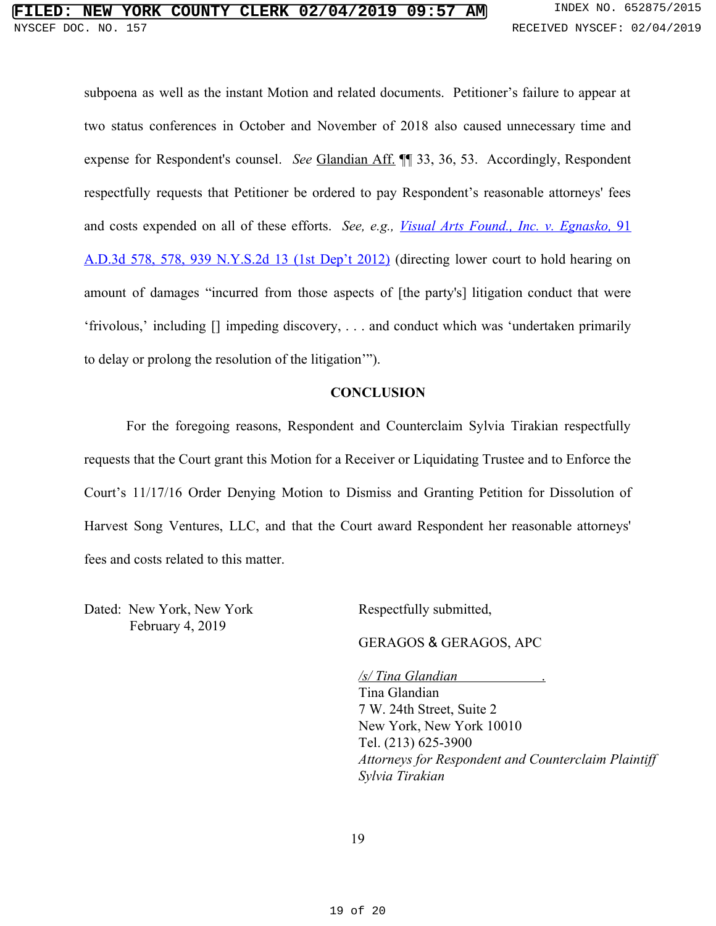subpoena as well as the instant Motion and related documents. Petitioner's failure to appear at two status conferences in October and November of 2018 also caused unnecessary time and expense for Respondent's counsel. *See* Glandian Aff. ¶¶ 33, 36, 53. Accordingly, Respondent respectfully requests that Petitioner be ordered to pay Respondent's reasonable attorneys' fees and costs expended on all of these efforts. *See, e.g., Visual Arts Found., Inc. v. [Egnasko,](https://www.westlaw.com/Document/Iec7350cf4c1511e1bdb9e162c1ad40c0/View/FullText.html?transitionType=Default&contextData=(sc.Default)&VR=3.0&RS=cblt1.0)* [91](https://www.westlaw.com/Document/Iec7350cf4c1511e1bdb9e162c1ad40c0/View/FullText.html?transitionType=Default&contextData=(sc.Default)&VR=3.0&RS=cblt1.0) A.D.3d 578, 578, 939 [N.Y.S.2d](https://www.westlaw.com/Document/Iec7350cf4c1511e1bdb9e162c1ad40c0/View/FullText.html?transitionType=Default&contextData=(sc.Default)&VR=3.0&RS=cblt1.0) 13 (1st Dep't 2012) (directing lower court to hold hearing on amount of damages "incurred from those aspects of [the party's] litigation conduct that were 'frivolous,' including [] impeding discovery, . . . and conduct which was 'undertaken primarily to delay or prolong the resolution of the litigation'").

### **CONCLUSION**

For the foregoing reasons, Respondent and Counterclaim Sylvia Tirakian respectfully requests that the Court grant this Motion for a Receiver or Liquidating Trustee and to Enforce the Court's 11/17/16 Order Denying Motion to Dismiss and Granting Petition for Dissolution of Harvest Song Ventures, LLC, and that the Court award Respondent her reasonable attorneys' fees and costs related to this matter.

Dated: New York, New York February 4, 2019

Respectfully submitted,

GERAGOS & GERAGOS, APC

*/s/ Tina Glandian* . Tina Glandian 7 W. 24th Street, Suite 2 New York, New York 10010 Tel. (213) 625-3900 *Attorneys for Respondent and Counterclaim Plaintiff Sylvia Tirakian*